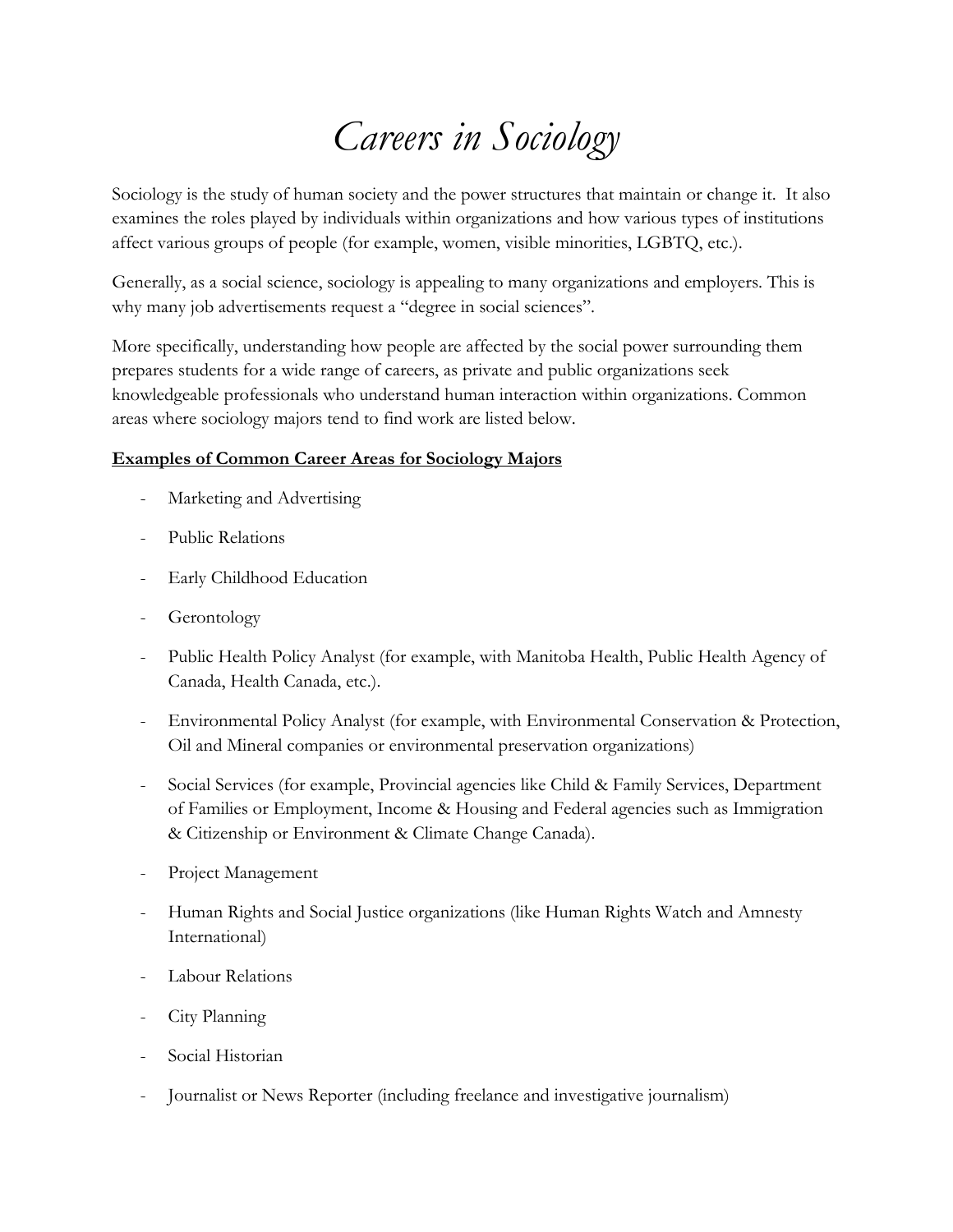## *Careers in Sociology*

Sociology is the study of human society and the power structures that maintain or change it. It also examines the roles played by individuals within organizations and how various types of institutions affect various groups of people (for example, women, visible minorities, LGBTQ, etc.).

Generally, as a social science, sociology is appealing to many organizations and employers. This is why many job advertisements request a "degree in social sciences".

More specifically, understanding how people are affected by the social power surrounding them prepares students for a wide range of careers, as private and public organizations seek knowledgeable professionals who understand human interaction within organizations. Common areas where sociology majors tend to find work are listed below.

## **Examples of Common Career Areas for Sociology Majors**

- Marketing and Advertising
- Public Relations
- Early Childhood Education
- Gerontology
- Public Health Policy Analyst (for example, with Manitoba Health, Public Health Agency of Canada, Health Canada, etc.).
- Environmental Policy Analyst (for example, with Environmental Conservation & Protection, Oil and Mineral companies or environmental preservation organizations)
- Social Services (for example, Provincial agencies like Child & Family Services, Department of Families or Employment, Income & Housing and Federal agencies such as Immigration & Citizenship or Environment & Climate Change Canada).
- Project Management
- Human Rights and Social Justice organizations (like Human Rights Watch and Amnesty International)
- Labour Relations
- City Planning
- Social Historian
- Journalist or News Reporter (including freelance and investigative journalism)